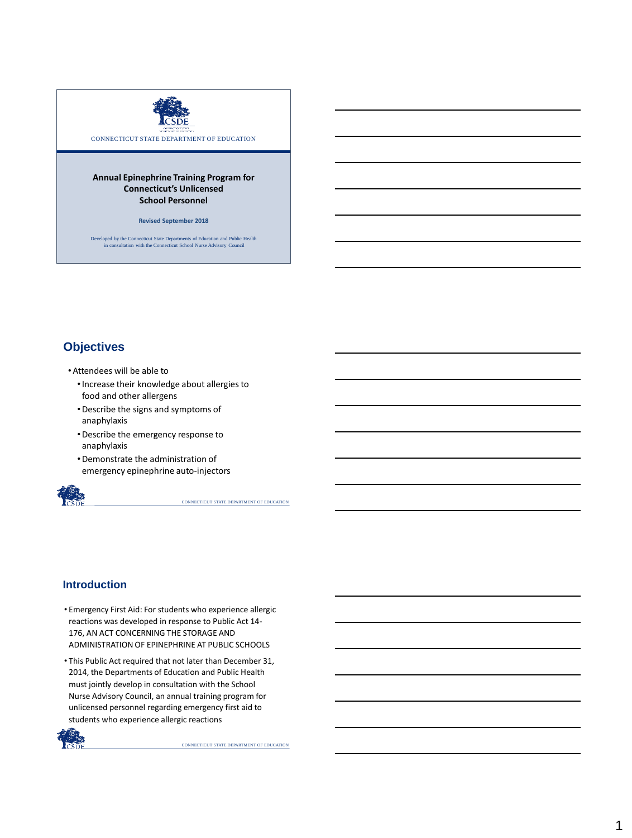

CONNECTICUT STATE DEPARTMENT OF EDUCATION

#### **Annual Epinephrine Training Program for Connecticut's Unlicensed School Personnel**

**Revised September 2018**

Developed by the Connecticut State Departments of Education and Public Health in consultation with the Connecticut School Nurse Advisory Council

#### **Objectives**

- •Attendees will be able to
	- •Increase their knowledge about allergies to food and other allergens
	- •Describe the signs and symptoms of anaphylaxis
	- •Describe the emergency response to anaphylaxis
	- •Demonstrate the administration of emergency epinephrine auto-injectors



CONNECTICUT STATE DEPARTMENT OF EDUCATION

#### **Introduction**

- Emergency First Aid: For students who experience allergic reactions was developed in response to Public Act 14- 176, AN ACT CONCERNING THE STORAGE AND ADMINISTRATION OF EPINEPHRINE AT PUBLIC SCHOOLS
- This Public Act required that not later than December 31, 2014, the Departments of Education and Public Health must jointly develop in consultation with the School Nurse Advisory Council, an annual training program for unlicensed personnel regarding emergency first aid to students who experience allergic reactions

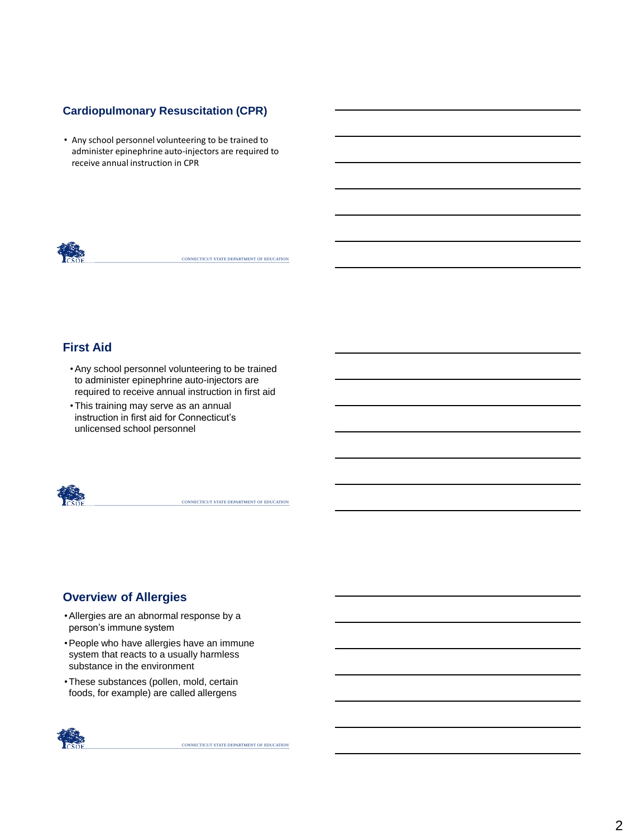#### **Cardiopulmonary Resuscitation (CPR)**

• Any school personnel volunteering to be trained to administer epinephrine auto-injectors are required to receive annual instruction in CPR



CONNECTICUT STATE DEPARTMENT OF EDUCATION

## **First Aid**

- •Any school personnel volunteering to be trained to administer epinephrine auto-injectors are required to receive annual instruction in first aid
- •This training may serve as an annual instruction in first aid for Connecticut's unlicensed school personnel



CONNECTICUT STATE DEPARTMENT OF EDUCATION

## **Overview of Allergies**

- •Allergies are an abnormal response by a person's immune system
- •People who have allergies have an immune system that reacts to a usually harmless substance in the environment
- •These substances (pollen, mold, certain foods, for example) are called allergens

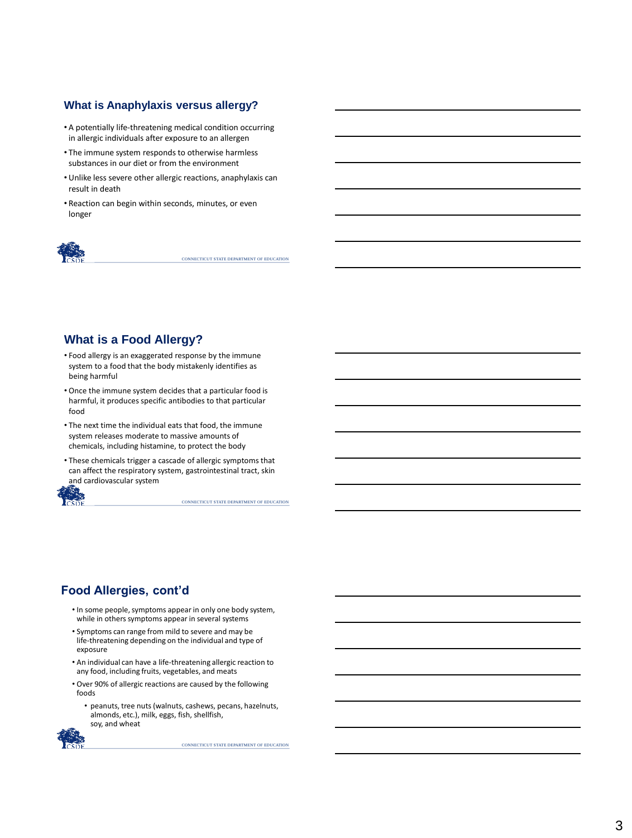#### **What is Anaphylaxis versus allergy?**

- A potentially life-threatening medical condition occurring in allergic individuals after exposure to an allergen
- The immune system responds to otherwise harmless substances in our diet or from the environment
- Unlike less severe other allergic reactions, anaphylaxis can result in death
- Reaction can begin within seconds, minutes, or even longer



CONNECTICUT STATE DEPARTMENT OF EDUCATION

## **What is a Food Allergy?**

- Food allergy is an exaggerated response by the immune system to a food that the body mistakenly identifies as being harmful
- Once the immune system decides that a particular food is harmful, it produces specific antibodies to that particular food
- The next time the individual eats that food, the immune system releases moderate to massive amounts of chemicals, including histamine, to protect the body
- These chemicals trigger a cascade of allergic symptoms that can affect the respiratory system, gastrointestinal tract, skin and cardiovascular system



CONNECTICUT STATE DEPARTMENT OF EDUCATION

## **Food Allergies, cont'd**

- In some people, symptoms appear in only one body system, while in others symptoms appear in several systems
- Symptoms can range from mild to severe and may be life-threatening depending on the individual and type of exposure
- An individual can have a life-threatening allergic reaction to any food, including fruits, vegetables, and meats
- Over 90% of allergic reactions are caused by the following foods
	- peanuts, tree nuts (walnuts, cashews, pecans, hazelnuts, almonds, etc.), milk, eggs, fish, shellfish, soy, and wheat

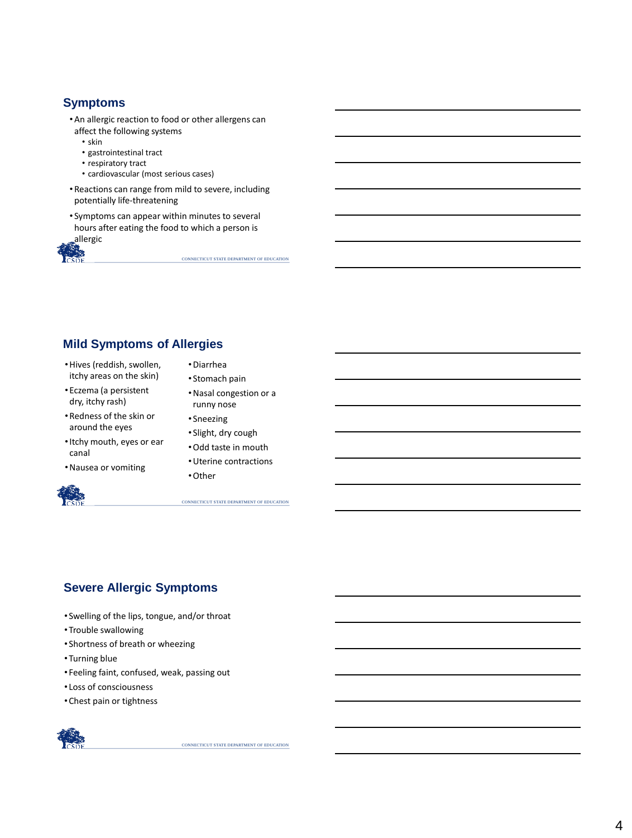#### **Symptoms**

- •An allergic reaction to food or other allergens can affect the following systems
	- skin
	- gastrointestinal tract
	- respiratory tract
	- cardiovascular (most serious cases)
- •Reactions can range from mild to severe, including potentially life-threatening
- Symptoms can appear within minutes to several hours after eating the food to which a person is allergic



CONNECTICUT STATE DEPARTMENT OF EDUCATION

## **Mild Symptoms of Allergies**

- •Hives (reddish, swollen, itchy areas on the skin)
- Eczema (a persistent dry, itchy rash)
- •Redness of the skin or around the eyes
- •Itchy mouth, eyes or ear canal
- •Nausea or vomiting



- •Diarrhea • Stomach pain
- •Nasal congestion or a runny nose
- Sneezing
- Slight, dry cough
- •Odd taste in mouth
- •Uterine contractions
- •Other

CONNECTICUT STATE DEPARTMENT OF EDUCATION

## **Severe Allergic Symptoms**

- Swelling of the lips, tongue, and/or throat
- Trouble swallowing
- Shortness of breath or wheezing
- Turning blue
- Feeling faint, confused, weak, passing out
- Loss of consciousness
- Chest pain or tightness

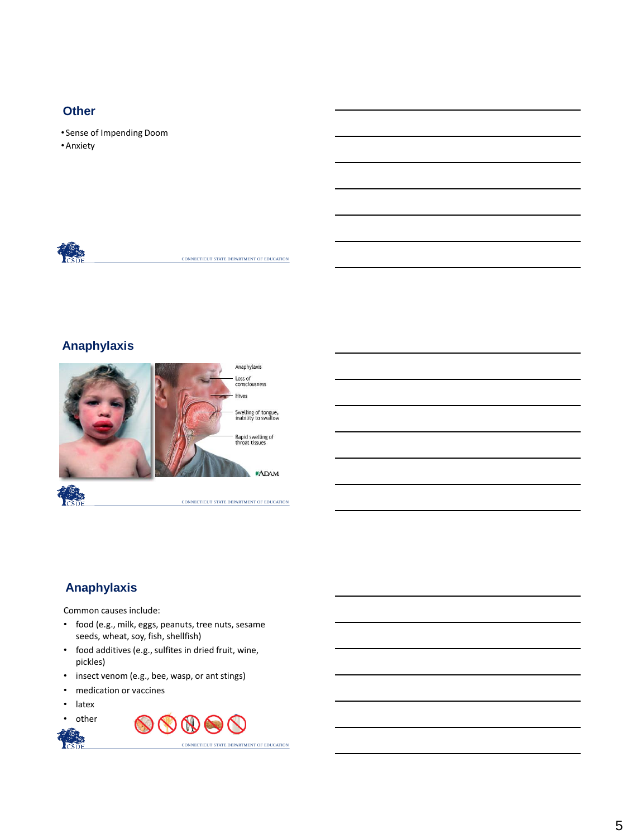#### **Other**

- Sense of Impending Doom
- •Anxiety



CONNECTICUT STATE DEPARTMENT OF EDUCATION

## **Anaphylaxis**



# **Anaphylaxis**

Common causes include:

- food (e.g., milk, eggs, peanuts, tree nuts, sesame seeds, wheat, soy, fish, shellfish)
- food additives (e.g., sulfites in dried fruit, wine, pickles)
- insect venom (e.g., bee, wasp, or ant stings)
- medication or vaccines
- latex
- other

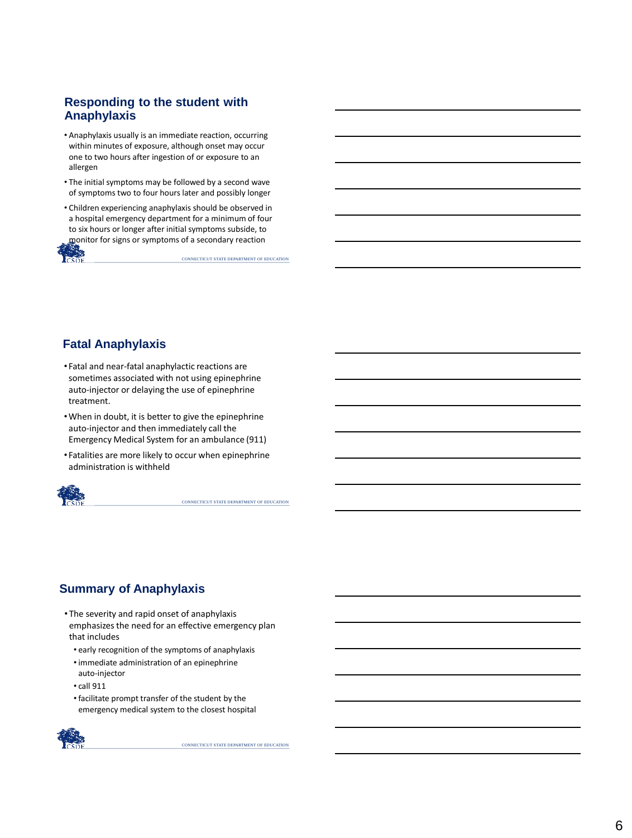#### **Responding to the student with Anaphylaxis**

- Anaphylaxis usually is an immediate reaction, occurring within minutes of exposure, although onset may occur one to two hours after ingestion of or exposure to an allergen
- The initial symptoms may be followed by a second wave of symptoms two to four hours later and possibly longer
- Children experiencing anaphylaxis should be observed in a hospital emergency department for a minimum of four to six hours or longer after initial symptoms subside, to monitor for signs or symptoms of a secondary reaction

CONNECTICUT STATE DEPARTMENT OF EDUCATION

# **Fatal Anaphylaxis**

- Fatal and near-fatal anaphylactic reactions are sometimes associated with not using epinephrine auto-injector or delaying the use of epinephrine treatment.
- •When in doubt, it is better to give the epinephrine auto-injector and then immediately call the Emergency Medical System for an ambulance (911)
- Fatalities are more likely to occur when epinephrine administration is withheld



CONNECTICUT STATE DEPARTMENT OF EDUCATION

# **Summary of Anaphylaxis**

- The severity and rapid onset of anaphylaxis emphasizes the need for an effective emergency plan that includes
	- early recognition of the symptoms of anaphylaxis
	- •immediate administration of an epinephrine auto-injector
	- call 911
	- •facilitate prompt transfer of the student by the emergency medical system to the closest hospital

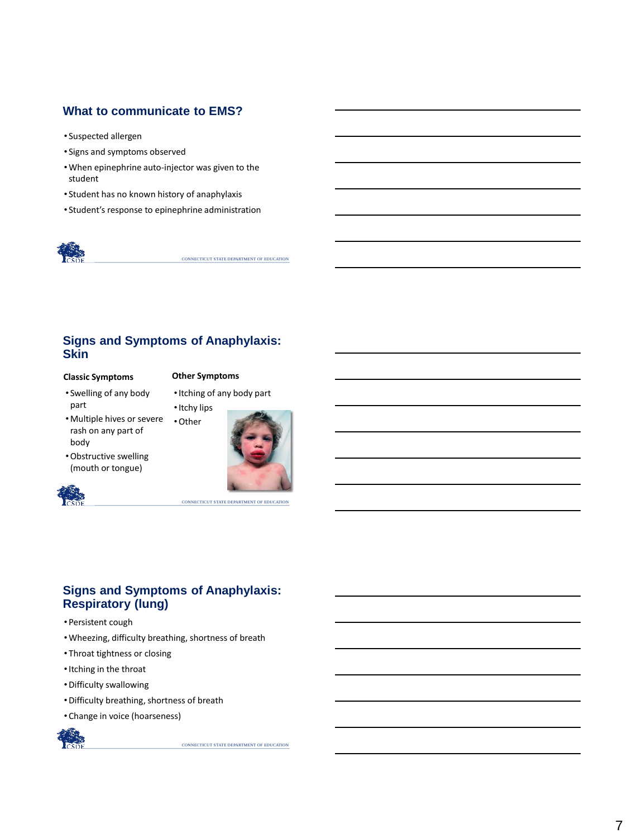#### **What to communicate to EMS?**

- Suspected allergen
- Signs and symptoms observed
- •When epinephrine auto-injector was given to the student
- Student has no known history of anaphylaxis
- Student's response to epinephrine administration



CONNECTICUT STATE DEPARTMENT OF EDUCATION

#### **Signs and Symptoms of Anaphylaxis: Skin**

#### **Classic Symptoms**

#### **Other Symptoms**

• Swelling of any body part

•Itching of any body part

•Multiple hives or severe rash on any part of body •Other



CONNECTICUT STATE DEPARTMENT OF EDUCATION

•Obstructive swelling (mouth or tongue)



#### **Signs and Symptoms of Anaphylaxis: Respiratory (lung)**

- Persistent cough
- •Wheezing, difficulty breathing, shortness of breath
- Throat tightness or closing
- •Itching in the throat
- •Difficulty swallowing
- •Difficulty breathing, shortness of breath
- Change in voice (hoarseness)

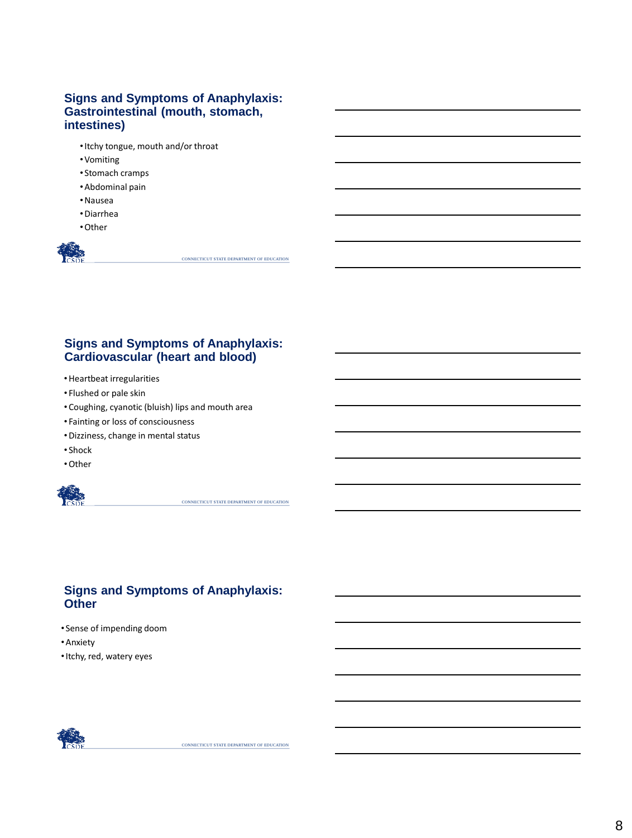#### **Signs and Symptoms of Anaphylaxis: Gastrointestinal (mouth, stomach, intestines)**

- •Itchy tongue, mouth and/or throat
- •Vomiting
- Stomach cramps
- •Abdominal pain
- •Nausea
- •Diarrhea
- •Other

CONNECTICUT STATE DEPARTMENT OF EDUCATION

## **Signs and Symptoms of Anaphylaxis: Cardiovascular (heart and blood)**

- •Heartbeat irregularities
- Flushed or pale skin
- Coughing, cyanotic (bluish) lips and mouth area
- Fainting or loss of consciousness
- •Dizziness, change in mental status
- Shock
- •Other



CONNECTICUT STATE DEPARTMENT OF EDUCATION

#### **Signs and Symptoms of Anaphylaxis: Other**

- Sense of impending doom
- •Anxiety
- •Itchy, red, watery eyes

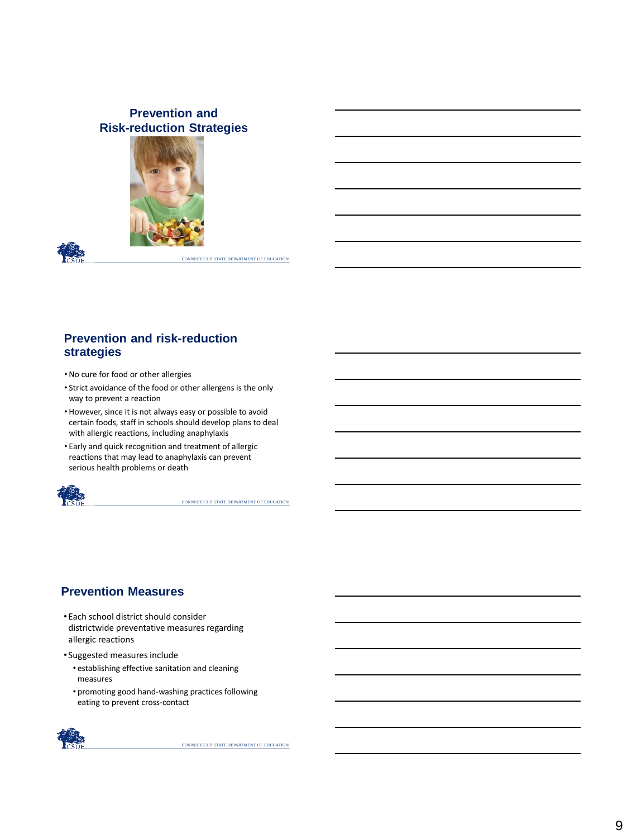#### **Prevention and Risk-reduction Strategies**





CONNECTICUT STATE DEPARTMENT OF EDUCATION

#### **Prevention and risk-reduction strategies**

- No cure for food or other allergies
- Strict avoidance of the food or other allergens is the only way to prevent a reaction
- However, since it is not always easy or possible to avoid certain foods, staff in schools should develop plans to deal with allergic reactions, including anaphylaxis
- Early and quick recognition and treatment of allergic reactions that may lead to anaphylaxis can prevent serious health problems or death



CONNECTICUT STATE DEPARTMENT OF EDUCATION

#### **Prevention Measures**

- Each school district should consider districtwide preventative measures regarding allergic reactions
- Suggested measures include
	- establishing effective sanitation and cleaning measures
	- promoting good hand-washing practices following eating to prevent cross-contact

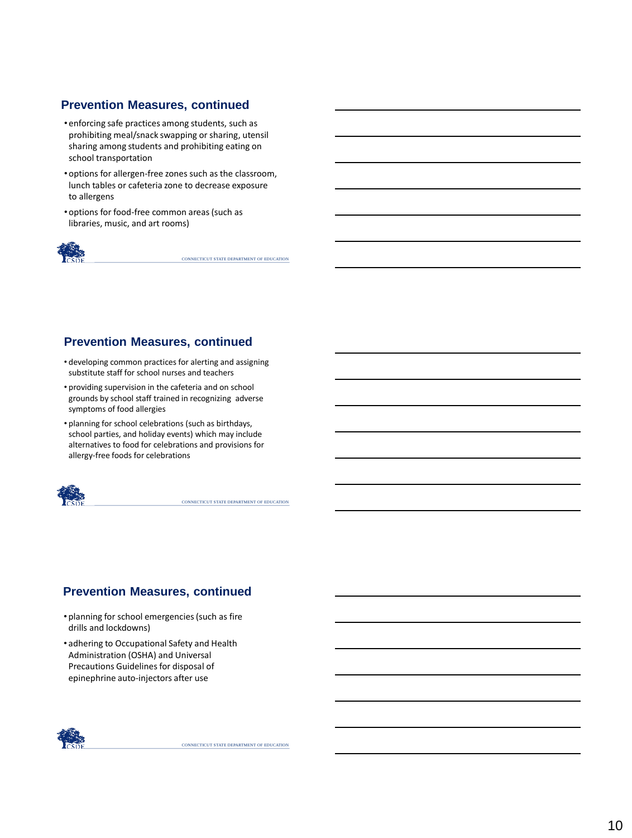#### **Prevention Measures, continued**

- enforcing safe practices among students, such as prohibiting meal/snack swapping or sharing, utensil sharing among students and prohibiting eating on school transportation
- options for allergen-free zones such as the classroom, lunch tables or cafeteria zone to decrease exposure to allergens
- options for food-free common areas (such as libraries, music, and art rooms)



CONNECTICUT STATE DEPARTMENT OF EDUCATION

#### **Prevention Measures, continued**

- developing common practices for alerting and assigning substitute staff for school nurses and teachers
- providing supervision in the cafeteria and on school grounds by school staff trained in recognizing adverse symptoms of food allergies
- planning for school celebrations (such as birthdays, school parties, and holiday events) which may include alternatives to food for celebrations and provisions for allergy-free foods for celebrations



CONNECTICUT STATE DEPARTMENT OF EDUCATION

## **Prevention Measures, continued**

- planning for school emergencies (such as fire drills and lockdowns)
- adhering to Occupational Safety and Health Administration (OSHA) and Universal Precautions Guidelines for disposal of epinephrine auto-injectors after use

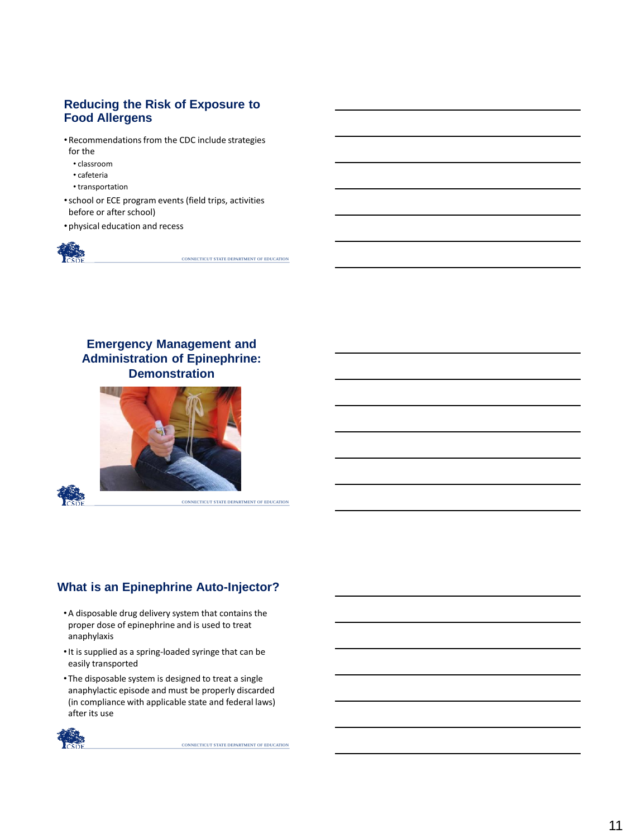#### **Reducing the Risk of Exposure to Food Allergens**

- •Recommendations from the CDC include strategies for the
	- classroom
	- cafeteria
	- transportation
- •school or ECE program events (field trips, activities before or after school)
- physical education and recess



CONNECTICUT STATE DEPARTMENT OF EDUCATION

## **Emergency Management and Administration of Epinephrine: Demonstration**



## **What is an Epinephrine Auto-Injector?**

- •A disposable drug delivery system that contains the proper dose of epinephrine and is used to treat anaphylaxis
- •It is supplied as a spring-loaded syringe that can be easily transported
- The disposable system is designed to treat a single anaphylactic episode and must be properly discarded (in compliance with applicable state and federal laws) after its use

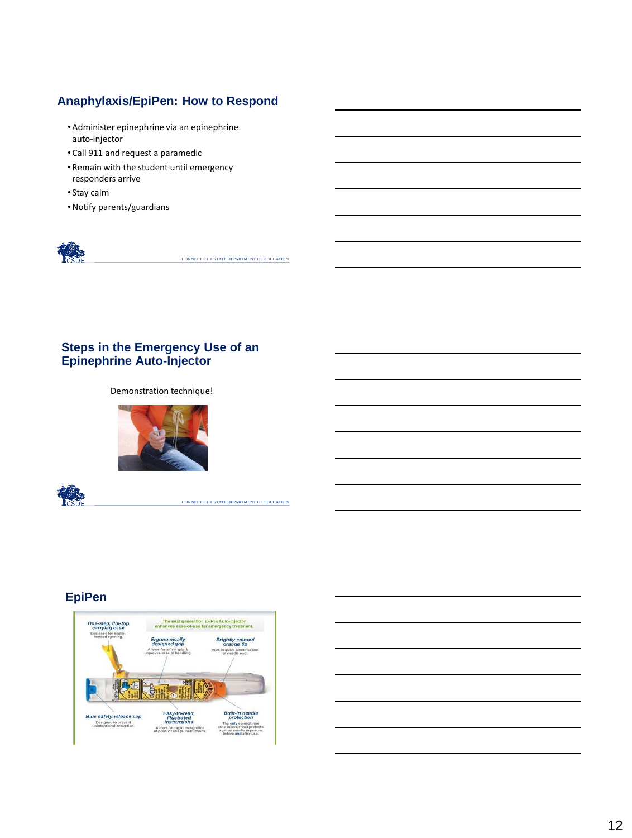## **Anaphylaxis/EpiPen: How to Respond**

- •Administer epinephrine via an epinephrine auto-injector
- Call 911 and request a paramedic
- •Remain with the student until emergency responders arrive
- Stay calm
- •Notify parents/guardians



CONNECTICUT STATE DEPARTMENT OF EDUCATION

#### **Steps in the Emergency Use of an Epinephrine Auto-Injector**

Demonstration technique!





CONNECTICUT STATE DEPARTMENT OF EDUCATION

## **EpiPen**



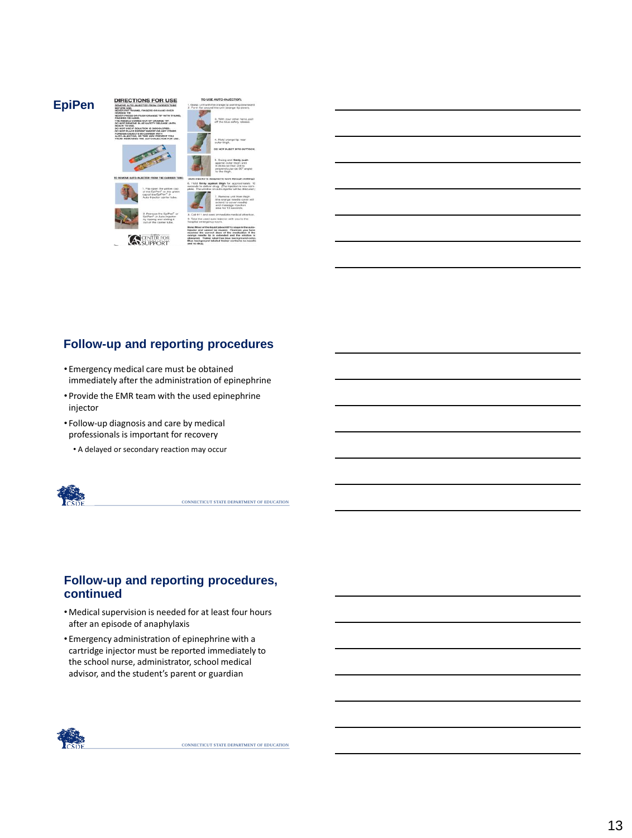

## **Follow-up and reporting procedures**

- Emergency medical care must be obtained immediately after the administration of epinephrine
- Provide the EMR team with the used epinephrine injector
- Follow-up diagnosis and care by medical professionals is important for recovery
	- A delayed or secondary reaction may occur



CONNECTICUT STATE DEPARTMENT OF EDUCATION

#### **Follow-up and reporting procedures, continued**

- •Medical supervision is needed for at least four hours after an episode of anaphylaxis
- Emergency administration of epinephrine with a cartridge injector must be reported immediately to the school nurse, administrator, school medical advisor, and the student's parent or guardian

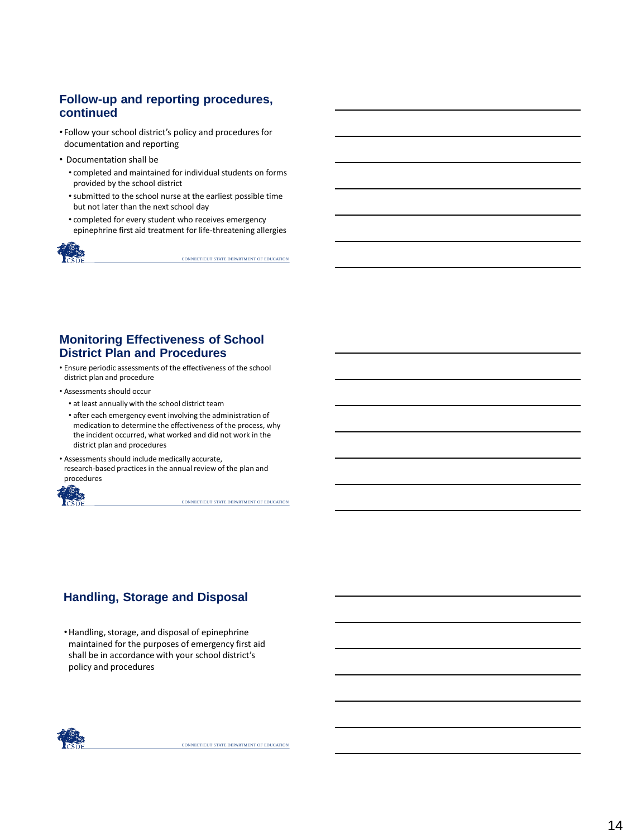#### **Follow-up and reporting procedures, continued**

- Follow your school district's policy and procedures for documentation and reporting
- Documentation shall be
	- completed and maintained for individual students on forms provided by the school district
	- •submitted to the school nurse at the earliest possible time but not later than the next school day
	- completed for every student who receives emergency epinephrine first aid treatment for life-threatening allergies



CONNECTICUT STATE DEPARTMENT OF EDUCATION

#### **Monitoring Effectiveness of School District Plan and Procedures**

- Ensure periodic assessments of the effectiveness of the school district plan and procedure
- Assessments should occur
	- at least annually with the school district team
	- after each emergency event involving the administration of medication to determine the effectiveness of the process, why the incident occurred, what worked and did not work in the district plan and procedures
- Assessments should include medically accurate, research-based practices in the annual review of the plan and procedures



CONNECTICUT STATE DEPARTMENT OF EDUCATION

## **Handling, Storage and Disposal**

•Handling, storage, and disposal of epinephrine maintained for the purposes of emergency first aid shall be in accordance with your school district's policy and procedures

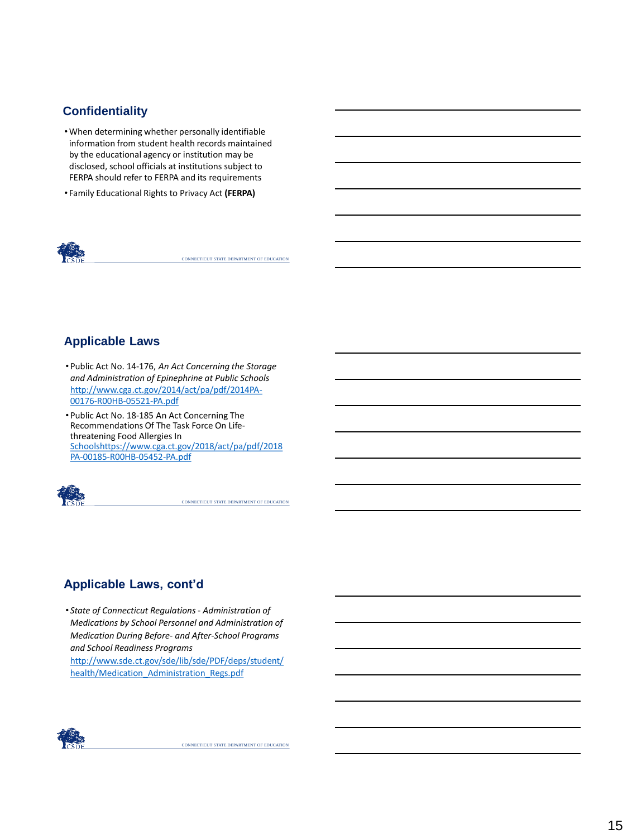#### **Confidentiality**

- •When determining whether personally identifiable information from student health records maintained by the educational agency or institution may be disclosed, school officials at institutions subject to FERPA should refer to FERPA and its requirements
- Family Educational Rights to Privacy Act **(FERPA)**



CONNECTICUT STATE DEPARTMENT OF EDUCATION

## **Applicable Laws**

- Public Act No. 14-176, *An Act Concerning the Storage and Administration of Epinephrine at Public Schools*  [http://www.cga.ct.gov/2014/act/pa/pdf/2014PA-](http://www.cga.ct.gov/2014/act/pa/pdf/2014PA-00176-R00HB-05521-PA.pdf)00176-R00HB-05521-PA.pdf
- Public Act No. 18-185 An Act Concerning The Recommendations Of The Task Force On Lifethreatening Food Allergies In [Schoolshttps://www.cga.ct.gov/2018/act/pa/pdf/2018](https://www.cga.ct.gov/2018/act/pa/pdf/2018PA-00185-R00HB-05452-PA.pdf) PA-00185-R00HB-05452-PA.pdf



CONNECTICUT STATE DEPARTMENT OF EDUCATION

## **Applicable Laws, cont'd**

• *State of Connecticut Regulations - Administration of Medications by School Personnel and Administration of Medication During Before- and After-School Programs and School Readiness Programs*  [http://www.sde.ct.gov/sde/lib/sde/PDF/deps/student/](http://www.sde.ct.gov/sde/lib/sde/PDF/deps/student/health/Medication_Administration_Regs.pdf)

health/Medication\_Administration\_Regs.pdf

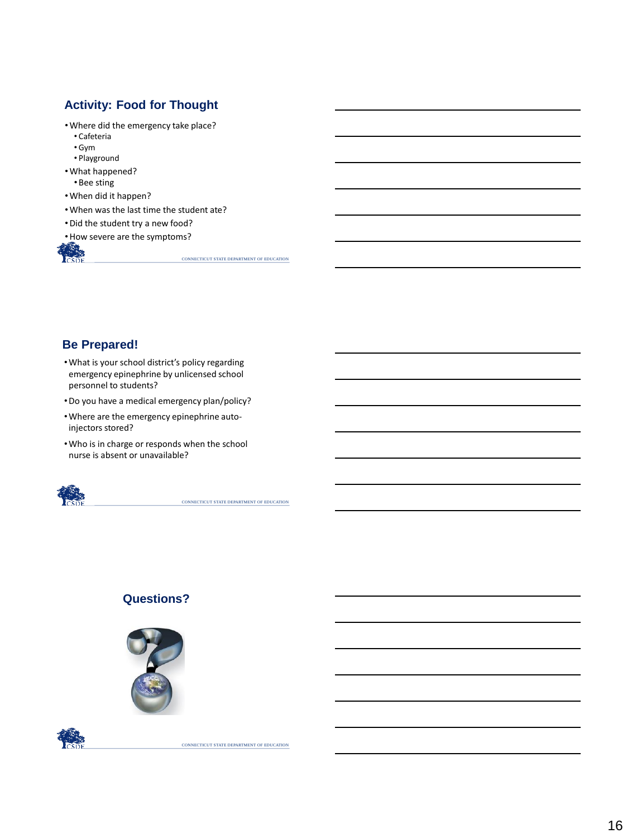## **Activity: Food for Thought**

- •Where did the emergency take place?
	- Cafeteria
	- Gym
- Playground •What happened?
	- •Bee sting
- •When did it happen?
- •When was the last time the student ate?
- •Did the student try a new food?
- •How severe are the symptoms?

CONNECTICUT STATE DEPARTMENT OF EDUCATION

## **Be Prepared!**

- •What is your school district's policy regarding emergency epinephrine by unlicensed school personnel to students?
- •Do you have a medical emergency plan/policy?
- •Where are the emergency epinephrine autoinjectors stored?
- •Who is in charge or responds when the school nurse is absent or unavailable?



CONNECTICUT STATE DEPARTMENT OF EDUCATION

## **Questions?**